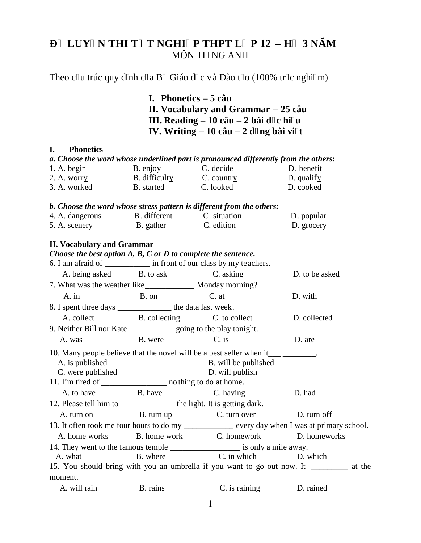# **LUY NTHIT TNGHI PTHPT L P12 - H 3 N M** MÔN TI NG ANH

Theo c u trúc quy nh c a B Giáo dịc và ào t o (100% trịc nghiệm)

**I. Phonetics – 5 câu II. Vocabulary and Grammar – 25 câu III. Reading**  $-10$  **câu**  $-2$  **bài c** hi **u IV. Writing**  $-10$  câu  $-2$  d ng bài vi t

#### **I. Phonetics**

|             |          |           | a. Choose the word whose underlined part is pronounced differently from the others: |
|-------------|----------|-----------|-------------------------------------------------------------------------------------|
| 1. A. begin | B. enjoy | C. decide | D. benefit                                                                          |

| 2. A. worry  | B. difficulty     | C. country | D. qualify |
|--------------|-------------------|------------|------------|
| 3. A. worked | <b>B.</b> started | C. looked  | D. cooked  |

#### *b. Choose the word whose stress pattern is different from the others:*

| 4. A. dangerous | B. different | C. situation | D. popular |
|-----------------|--------------|--------------|------------|
| 5. A. scenery   | B. gather    | C. edition   | D. grocery |

#### **II. Vocabulary and Grammar**

# *Choose the best option A, B, C or D to complete the sentence.* 6. I am afraid of \_\_\_\_\_\_\_\_\_\_\_ in front of our class by my teachers. A. being asked B. to ask C. asking D. to be asked 7. What was the weather like Monday morning? A. in B. on C. at D. with 8. I spent three days \_\_\_\_\_\_\_\_\_\_\_\_\_ the data last week. A. collect B. collecting C. to collect D. collected 9. Neither Bill nor Kate going to the play tonight. A. was B. were C. is D. are 10. Many people believe that the novel will be a best seller when it\_\_\_\_\_\_\_\_\_\_\_\_ A. is published B. will be published C. were published D. will publish 11. I'm tired of \_\_\_\_\_\_\_\_\_\_\_\_\_\_\_\_\_\_\_\_ no thing to do at home. A. to have B. have B. have C. having D. had 12. Please tell him to \_\_\_\_\_\_\_\_\_\_\_\_\_ the light. It is getting dark. A. turn on B. turn up C. turn over D. turn off 13. It often took me four hours to do my \_\_\_\_\_\_\_\_\_\_\_\_ every day when I was at primary school. A. home works B. home work C. homework D. homeworks 14. They went to the famous temple \_\_\_\_\_\_\_\_\_\_\_\_\_\_\_\_\_\_\_\_\_ is only a mile away. A. what B. where C. in which D. which 15. You should bring with you an umbrella if you want to go out now. It \_\_\_\_\_\_\_\_\_ at the moment. A. will rain B. rains C. is raining D. rained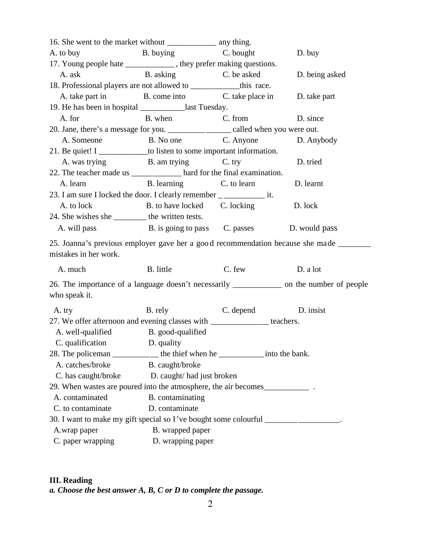| A. to buy                                                                                                      | B. buying C. bought          |        | D. buy         |
|----------------------------------------------------------------------------------------------------------------|------------------------------|--------|----------------|
| 17. Young people hate ______________, they prefer making questions.                                            |                              |        |                |
| A. ask                                                                                                         | B. asking C. be asked        |        | D. being asked |
| 18. Professional players are not allowed to ______________this race.                                           |                              |        |                |
| A. take part in B. come into C. take place in                                                                  |                              |        | D. take part   |
| 19. He has been in hospital ______________last Tuesday.                                                        |                              |        |                |
| A. for                                                                                                         | B. when C. from D. since     |        |                |
| 20. Jane, there's a message for you. _____________ called when you were out.                                   |                              |        |                |
| A. Someone B. No one C. Anyone D. Anybody                                                                      |                              |        |                |
| 21. Be quiet! I _____________to listen to some important information.                                          |                              |        |                |
| A. was trying B. am trying C. try                                                                              |                              |        | D. tried       |
| 22. The teacher made us _____________ hard for the final examination.                                          |                              |        |                |
| A. learn B. learning C. to learn D. learnt                                                                     |                              |        |                |
| 23. I am sure I locked the door. I clearly remember ________________ it.                                       |                              |        |                |
| A. to lock                                                                                                     | B. to have locked C. locking |        | D. lock        |
| 24. She wishes she _________ the written tests.                                                                |                              |        |                |
| A. will pass B. is going to pass C. passes D. would pass                                                       |                              |        |                |
| 25. Joanna's previous employer gave her a good recommendation because she made ______<br>mistakes in her work. |                              |        |                |
| A. much                                                                                                        | B. little                    | C. few | D. a lot       |
| 26. The importance of a language doesn't necessarily ___________ on the number of people<br>who speak it.      |                              |        |                |
| A. try                                                                                                         | B. rely C. depend D. insist  |        |                |
| 27. We offer afternoon and evening classes with ______________ teachers.                                       |                              |        |                |
| A. well-qualified B. good-qualified                                                                            |                              |        |                |
| C. qualification D. quality                                                                                    |                              |        |                |
| 28. The policeman ___________ the thief when he _____________ into the bank.                                   |                              |        |                |
| A. catches/broke                                                                                               | B. caught/broke              |        |                |
| C. has caught/broke D. caught/ had just broken                                                                 |                              |        |                |
| 29. When wastes are poured into the atmosphere, the air becomes_________________.                              |                              |        |                |
| A. contaminated                                                                                                | B. contaminating             |        |                |
| C. to contaminate                                                                                              | D. contaminate               |        |                |
| 30. I want to make my gift special so I've bought some colourful _______________.                              |                              |        |                |
| A.wrap paper                                                                                                   | B. wrapped paper             |        |                |
| C. paper wrapping                                                                                              | D. wrapping paper            |        |                |

# **III. Reading**

*a. Choose the best answer A, B, C or D to complete the passage.*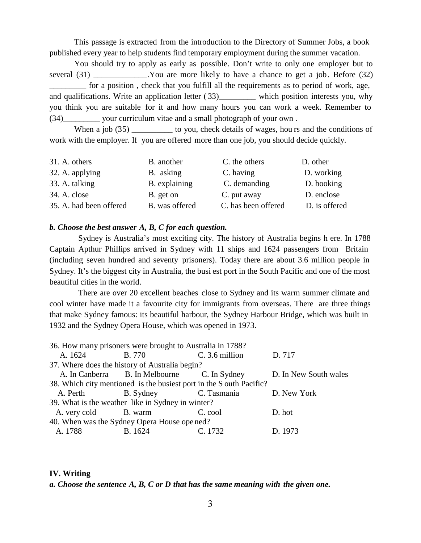This passage is extracted from the introduction to the Directory of Summer Jobs, a book published every year to help students find temporary employment during the summer vacation.

You should try to apply as early as possible. Don't write to only one employer but to several (31) Several (31) Several (31) Nou are more likely to have a chance to get a job. Before (32) \_\_\_\_\_\_\_\_\_ for a position , check that you fulfill all the requirements as to period of work, age, and qualifications. Write an application letter (33) which position interests you, why you think you are suitable for it and how many hours you can work a week. Remember to (34)\_\_\_\_\_\_\_\_\_ your curriculum vitae and a small photograph of your own .

When a job (35) \_\_\_\_\_\_\_\_\_\_\_ to you, check details of wages, hou rs and the conditions of work with the employer. If you are offered more than one job, you should decide quickly.

| 31. A. others           | B. another     | C. the others       | D. other      |
|-------------------------|----------------|---------------------|---------------|
| 32. A. applying         | B. asking      | C. having           | D. working    |
| 33. A. talking          | B. explaining  | C. demanding        | D. booking    |
| 34. A. close            | B. get on      | C. put away         | D. enclose    |
| 35. A. had been offered | B. was offered | C. has been offered | D. is offered |

## *b. Choose the best answer A, B, C for each question.*

Sydney is Australia's most exciting city. The history of Australia begins h ere. In 1788 Captain Apthur Phillips arrived in Sydney with 11 ships and 1624 passengers from Britain (including seven hundred and seventy prisoners). Today there are about 3.6 million people in Sydney. It's the biggest city in Australia, the busi est port in the South Pacific and one of the most beautiful cities in the world.

There are over 20 excellent beaches close to Sydney and its warm summer climate and cool winter have made it a favourite city for immigrants from overseas. There are three things that make Sydney famous: its beautiful harbour, the Sydney Harbour Bridge, which was built in 1932 and the Sydney Opera House, which was opened in 1973.

|                      | 36. How many prisoners were brought to Australia in 1788?           |                |                       |
|----------------------|---------------------------------------------------------------------|----------------|-----------------------|
| A. 1624              | <b>B.</b> 770                                                       | C. 3.6 million | D. 717                |
|                      | 37. Where does the history of Australia begin?                      |                |                       |
|                      | A. In Canberra B. In Melbourne C. In Sydney                         |                | D. In New South wales |
|                      | 38. Which city mentioned is the busiest port in the S outh Pacific? |                |                       |
| A. Perth             | B. Sydney C. Tasmania                                               |                | D. New York           |
|                      | 39. What is the weather like in Sydney in winter?                   |                |                       |
| A. very cold B. warm |                                                                     | C. cool        | D. hot                |
|                      | 40. When was the Sydney Opera House opened?                         |                |                       |
| A. 1788              | B. 1624                                                             | C. 1732        | D. 1973               |

#### **IV. Writing**

*a. Choose the sentence A, B, C or D that has the same meaning with the given one.*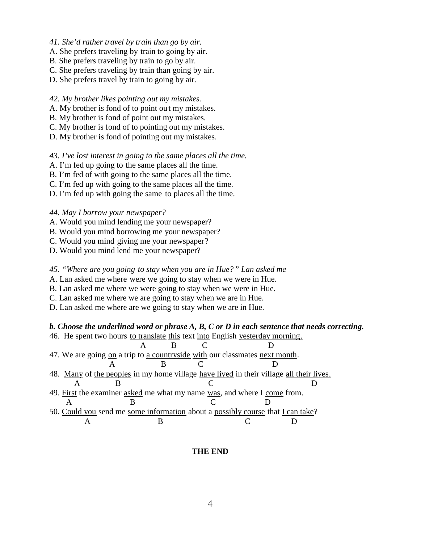- *41. She'd rather travel by train than go by air.*
- A. She prefers traveling by train to going by air.
- B. She prefers traveling by train to go by air.
- C. She prefers traveling by train than going by air.
- D. She prefers travel by train to going by air.
- *42. My brother likes pointing out my mistakes.*
- A. My brother is fond of to point ou t my mistakes.
- B. My brother is fond of point out my mistakes.
- C. My brother is fond of to pointing out my mistakes.
- D. My brother is fond of pointing out my mistakes.

*43. I've lost interest in going to the same places all the time.*

- A. I'm fed up going to the same places all the time.
- B. I'm fed of with going to the same places all the time.
- C. I'm fed up with going to the same places all the time.
- D. I'm fed up with going the same to places all the time.

## *44. May I borrow your newspaper?*

- A. Would you mind lending me your newspaper?
- B. Would you mind borrowing me your newspaper?
- C. Would you mind giving me your newspaper?
- D. Would you mind lend me your newspaper?

## *45. "Where are you going to stay when you are in Hue?" Lan asked me*

- A. Lan asked me where were we going to stay when we were in Hue.
- B. Lan asked me where we were going to stay when we were in Hue.
- C. Lan asked me where we are going to stay when we are in Hue.
- D. Lan asked me where are we going to stay when we are in Hue.

# *b. Choose the underlined word or phrase A, B, C or D in each sentence that needs correcting.*

|  |  |  |  |  | 46. He spent two hours to translate this text into English yesterday morning. |  |
|--|--|--|--|--|-------------------------------------------------------------------------------|--|
|--|--|--|--|--|-------------------------------------------------------------------------------|--|

- A B C D 47. We are going on a trip to a countryside with our classmates next month.
- A B C D 48. Many of the peoples in my home village have lived in their village all their lives. A B C D
- 49. First the examiner asked me what my name was, and where I come from.
- A B C D 50. Could you send me some information about a possibly course that I can take? A B C D

# **THE END**